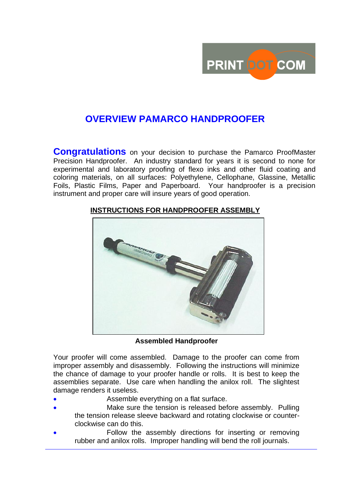

# **OVERVIEW PAMARCO HANDPROOFER**

**Congratulations** on your decision to purchase the Pamarco ProofMaster Precision Handproofer. An industry standard for years it is second to none for experimental and laboratory proofing of flexo inks and other fluid coating and coloring materials, on all surfaces: Polyethylene, Cellophane, Glassine, Metallic Foils, Plastic Films, Paper and Paperboard. Your handproofer is a precision instrument and proper care will insure years of good operation.



### **INSTRUCTIONS FOR HANDPROOFER ASSEMBLY**

**Assembled Handproofer**

Your proofer will come assembled. Damage to the proofer can come from improper assembly and disassembly. Following the instructions will minimize the chance of damage to your proofer handle or rolls. It is best to keep the assemblies separate. Use care when handling the anilox roll. The slightest damage renders it useless.

- Assemble everything on a flat surface.
- Make sure the tension is released before assembly. Pulling the tension release sleeve backward and rotating clockwise or counterclockwise can do this.
- Follow the assembly directions for inserting or removing rubber and anilox rolls. Improper handling will bend the roll journals.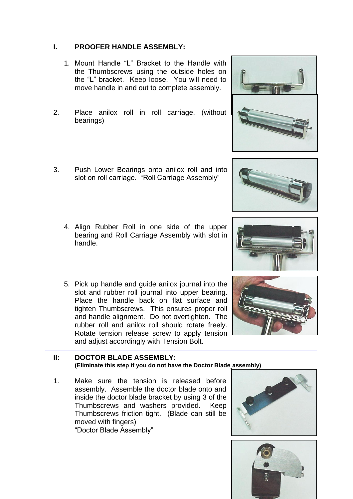#### **I. PROOFER HANDLE ASSEMBLY:**

- 1. Mount Handle "L" Bracket to the Handle with the Thumbscrews using the outside holes on the "L" bracket. Keep loose. You will need to move handle in and out to complete assembly.
- 2. Place anilox roll in roll carriage. (without bearings)
- 3. Push Lower Bearings onto anilox roll and into slot on roll carriage. "Roll Carriage Assembly"
	- 4. Align Rubber Roll in one side of the upper bearing and Roll Carriage Assembly with slot in handle.
	- 5. Pick up handle and guide anilox journal into the slot and rubber roll journal into upper bearing. Place the handle back on flat surface and tighten Thumbscrews. This ensures proper roll and handle alignment. Do not overtighten. The rubber roll and anilox roll should rotate freely. Rotate tension release screw to apply tension and adjust accordingly with Tension Bolt.

#### **II: DOCTOR BLADE ASSEMBLY: (Eliminate this step if you do not have the Doctor Blade assembly)**

1. Make sure the tension is released before assembly. Assemble the doctor blade onto and inside the doctor blade bracket by using 3 of the Thumbscrews and washers provided. Keep Thumbscrews friction tight. (Blade can still be moved with fingers) "Doctor Blade Assembly"











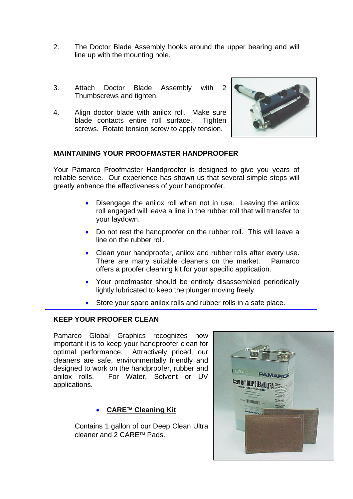- 2. The Doctor Blade Assembly hooks around the upper bearing and will line up with the mounting hole.
- 3. Attach Doctor Blade Assembly with 2 Thumbscrews and tighten.
- 4. Align doctor blade with anilox roll. Make sure blade contacts entire roll surface. Tighten screws. Rotate tension screw to apply tension.



#### **MAINTAINING YOUR PROOFMASTER HANDPROOFER**

Your Pamarco Proofmaster Handproofer is designed to give you years of reliable service. Our experience has shown us that several simple steps will greatly enhance the effectiveness of your handproofer.

- Disengage the anilox roll when not in use. Leaving the anilox roll engaged will leave a line in the rubber roll that will transfer to your laydown.
- Do not rest the handproofer on the rubber roll. This will leave a line on the rubber roll.
- Clean your handproofer, anilox and rubber rolls after every use. There are many suitable cleaners on the market. Pamarco offers a proofer cleaning kit for your specific application.
- Your proofmaster should be entirely disassembled periodically lightly lubricated to keep the plunger moving freely.
- Store your spare anilox rolls and rubber rolls in a safe place.

#### **KEEP YOUR PROOFER CLEAN**

Pamarco Global Graphics recognizes how important it is to keep your handproofer clean for optimal performance. Attractively priced, our cleaners are safe, environmentally friendly and designed to work on the handproofer, rubber and anilox rolls. For Water, Solvent or UV applications.

#### **CARE™ Cleaning Kit**

Contains 1 gallon of our Deep Clean Ultra cleaner and 2 CARE™ Pads.

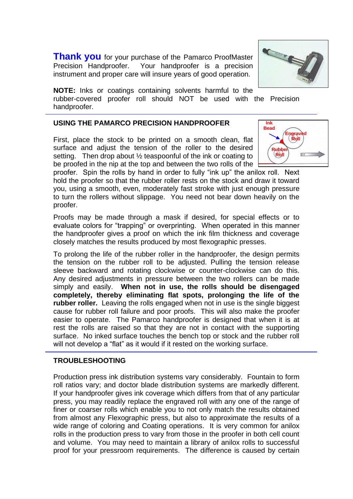**Thank you** for your purchase of the Pamarco ProofMaster Precision Handproofer. Your handproofer is a precision instrument and proper care will insure years of good operation.

**NOTE:** Inks or coatings containing solvents harmful to the rubber-covered proofer roll should NOT be used with the Precision handproofer.

#### **USING THE PAMARCO PRECISION HANDPROOFER**

First, place the stock to be printed on a smooth clean, flat surface and adjust the tension of the roller to the desired setting. Then drop about  $\frac{1}{2}$  teaspoonful of the ink or coating to be proofed in the nip at the top and between the two rolls of the

proofer. Spin the rolls by hand in order to fully "ink up" the anilox roll. Next hold the proofer so that the rubber roller rests on the stock and draw it toward you, using a smooth, even, moderately fast stroke with just enough pressure to turn the rollers without slippage. You need not bear down heavily on the proofer.

Proofs may be made through a mask if desired, for special effects or to evaluate colors for "trapping" or overprinting. When operated in this manner the handproofer gives a proof on which the ink film thickness and coverage closely matches the results produced by most flexographic presses.

To prolong the life of the rubber roller in the handproofer, the design permits the tension on the rubber roll to be adjusted. Pulling the tension release sleeve backward and rotating clockwise or counter-clockwise can do this. Any desired adjustments in pressure between the two rollers can be made simply and easily. **When not in use, the rolls should be disengaged completely, thereby eliminating flat spots, prolonging the life of the rubber roller.** Leaving the rolls engaged when not in use is the single biggest cause for rubber roll failure and poor proofs. This will also make the proofer easier to operate. The Pamarco handproofer is designed that when it is at rest the rolls are raised so that they are not in contact with the supporting surface. No inked surface touches the bench top or stock and the rubber roll will not develop a "flat" as it would if it rested on the working surface.

#### **TROUBLESHOOTING**

Production press ink distribution systems vary considerably. Fountain to form roll ratios vary; and doctor blade distribution systems are markedly different. If your handproofer gives ink coverage which differs from that of any particular press, you may readily replace the engraved roll with any one of the range of finer or coarser rolls which enable you to not only match the results obtained from almost any Flexographic press, but also to approximate the results of a wide range of coloring and Coating operations. It is very common for anilox rolls in the production press to vary from those in the proofer in both cell count and volume. You may need to maintain a library of anilox rolls to successful proof for your pressroom requirements. The difference is caused by certain